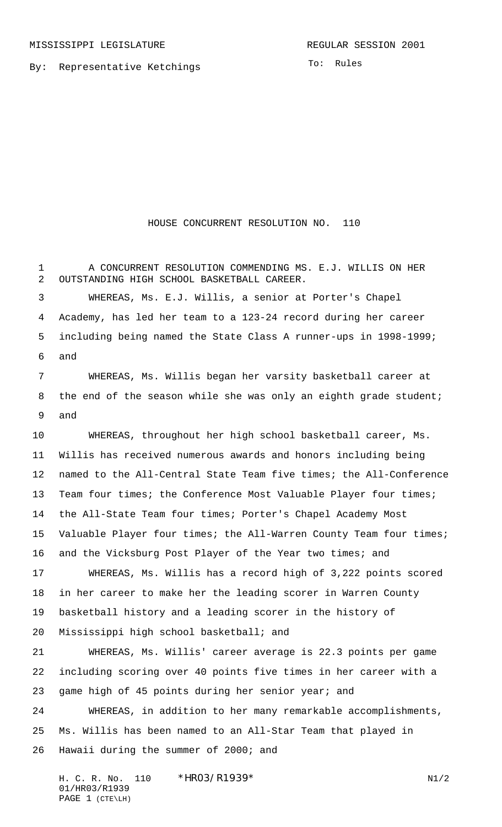By: Representative Ketchings

HOUSE CONCURRENT RESOLUTION NO. 110

 A CONCURRENT RESOLUTION COMMENDING MS. E.J. WILLIS ON HER OUTSTANDING HIGH SCHOOL BASKETBALL CAREER. WHEREAS, Ms. E.J. Willis, a senior at Porter's Chapel Academy, has led her team to a 123-24 record during her career including being named the State Class A runner-ups in 1998-1999; and WHEREAS, Ms. Willis began her varsity basketball career at 8 the end of the season while she was only an eighth grade student; and WHEREAS, throughout her high school basketball career, Ms. Willis has received numerous awards and honors including being named to the All-Central State Team five times; the All-Conference 13 Team four times; the Conference Most Valuable Player four times; the All-State Team four times; Porter's Chapel Academy Most Valuable Player four times; the All-Warren County Team four times; 16 and the Vicksburg Post Player of the Year two times; and WHEREAS, Ms. Willis has a record high of 3,222 points scored in her career to make her the leading scorer in Warren County basketball history and a leading scorer in the history of Mississippi high school basketball; and WHEREAS, Ms. Willis' career average is 22.3 points per game including scoring over 40 points five times in her career with a game high of 45 points during her senior year; and WHEREAS, in addition to her many remarkable accomplishments, Ms. Willis has been named to an All-Star Team that played in Hawaii during the summer of 2000; and

H. C. R. No. 110 \* HRO3/R1939\* N1/2 01/HR03/R1939 PAGE 1 (CTE\LH)